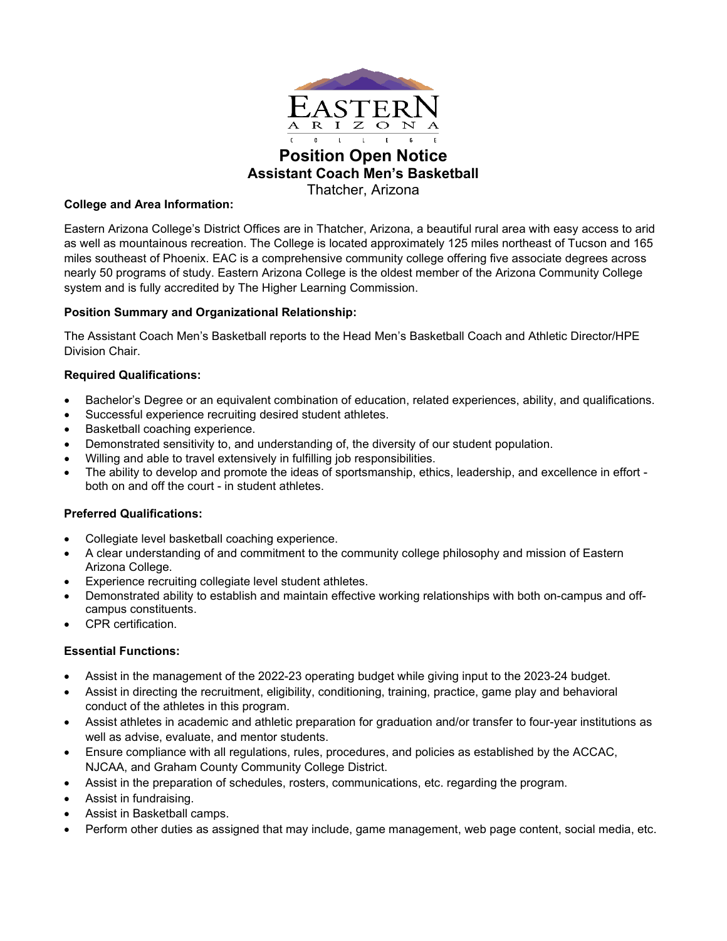

**Assistant Coach Men's Basketball**

Thatcher, Arizona

## **College and Area Information:**

Eastern Arizona College's District Offices are in Thatcher, Arizona, a beautiful rural area with easy access to arid as well as mountainous recreation. The College is located approximately 125 miles northeast of Tucson and 165 miles southeast of Phoenix. EAC is a comprehensive community college offering five associate degrees across nearly 50 programs of study. Eastern Arizona College is the oldest member of the Arizona Community College system and is fully accredited by The Higher Learning Commission.

# **Position Summary and Organizational Relationship:**

The Assistant Coach Men's Basketball reports to the Head Men's Basketball Coach and Athletic Director/HPE Division Chair.

# **Required Qualifications:**

- Bachelor's Degree or an equivalent combination of education, related experiences, ability, and qualifications.
- Successful experience recruiting desired student athletes.
- Basketball coaching experience.
- Demonstrated sensitivity to, and understanding of, the diversity of our student population.
- Willing and able to travel extensively in fulfilling job responsibilities.
- The ability to develop and promote the ideas of sportsmanship, ethics, leadership, and excellence in effort both on and off the court - in student athletes.

# **Preferred Qualifications:**

- Collegiate level basketball coaching experience.
- A clear understanding of and commitment to the community college philosophy and mission of Eastern Arizona College.
- Experience recruiting collegiate level student athletes.
- Demonstrated ability to establish and maintain effective working relationships with both on-campus and offcampus constituents.
- CPR certification.

# **Essential Functions:**

- Assist in the management of the 2022-23 operating budget while giving input to the 2023-24 budget.
- Assist in directing the recruitment, eligibility, conditioning, training, practice, game play and behavioral conduct of the athletes in this program.
- Assist athletes in academic and athletic preparation for graduation and/or transfer to four-year institutions as well as advise, evaluate, and mentor students.
- Ensure compliance with all regulations, rules, procedures, and policies as established by the ACCAC, NJCAA, and Graham County Community College District.
- Assist in the preparation of schedules, rosters, communications, etc. regarding the program.
- Assist in fundraising.
- Assist in Basketball camps.
- Perform other duties as assigned that may include, game management, web page content, social media, etc.